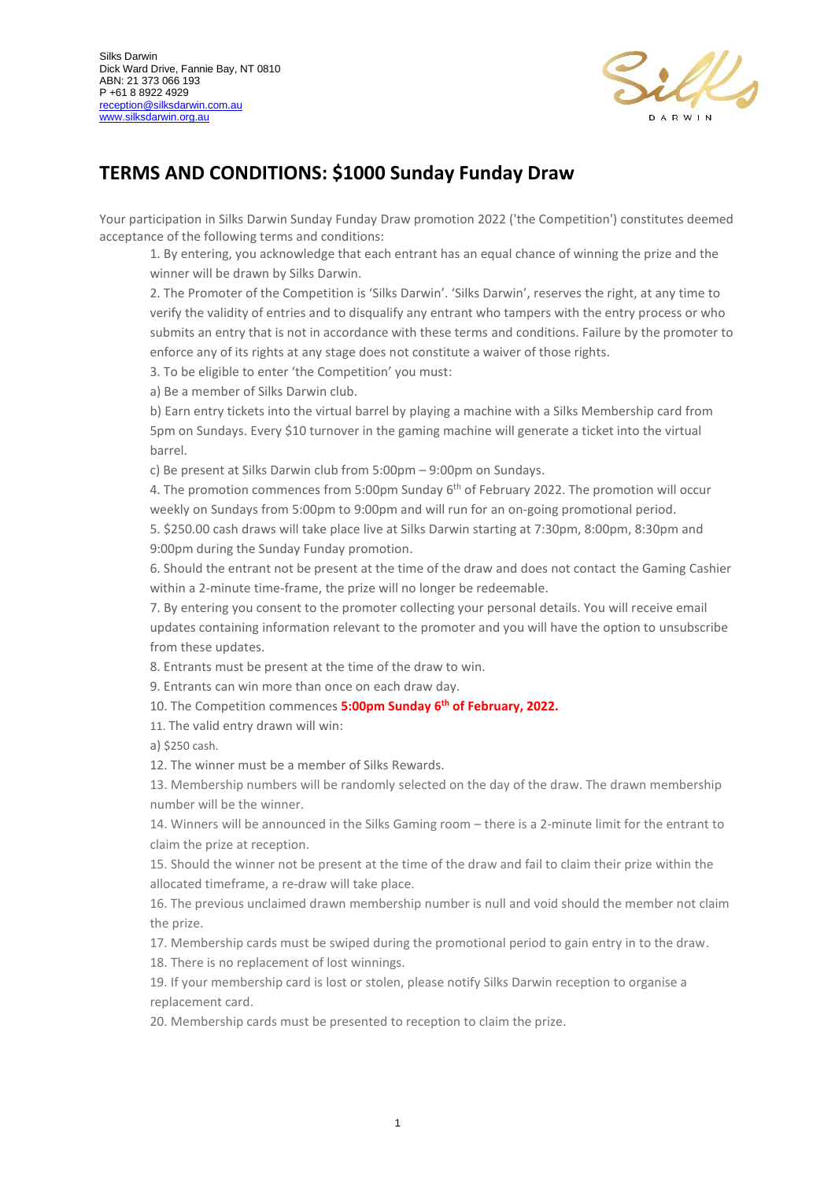

## **TERMS AND CONDITIONS: \$1000 Sunday Funday Draw**

Your participation in Silks Darwin Sunday Funday Draw promotion 2022 ('the Competition') constitutes deemed acceptance of the following terms and conditions:

1. By entering, you acknowledge that each entrant has an equal chance of winning the prize and the winner will be drawn by Silks Darwin.

2. The Promoter of the Competition is 'Silks Darwin'. 'Silks Darwin', reserves the right, at any time to verify the validity of entries and to disqualify any entrant who tampers with the entry process or who submits an entry that is not in accordance with these terms and conditions. Failure by the promoter to enforce any of its rights at any stage does not constitute a waiver of those rights.

3. To be eligible to enter 'the Competition' you must:

a) Be a member of Silks Darwin club.

b) Earn entry tickets into the virtual barrel by playing a machine with a Silks Membership card from 5pm on Sundays. Every \$10 turnover in the gaming machine will generate a ticket into the virtual barrel.

c) Be present at Silks Darwin club from 5:00pm – 9:00pm on Sundays.

4. The promotion commences from 5:00pm Sunday 6<sup>th</sup> of February 2022. The promotion will occur weekly on Sundays from 5:00pm to 9:00pm and will run for an on-going promotional period.

5. \$250.00 cash draws will take place live at Silks Darwin starting at 7:30pm, 8:00pm, 8:30pm and 9:00pm during the Sunday Funday promotion.

6. Should the entrant not be present at the time of the draw and does not contact the Gaming Cashier within a 2-minute time-frame, the prize will no longer be redeemable.

7. By entering you consent to the promoter collecting your personal details. You will receive email updates containing information relevant to the promoter and you will have the option to unsubscribe from these updates.

8. Entrants must be present at the time of the draw to win.

9. Entrants can win more than once on each draw day.

10. The Competition commences **5:00pm Sunday 6 th of February, 2022.**

11. The valid entry drawn will win:

a) \$250 cash.

12. The winner must be a member of Silks Rewards.

13. Membership numbers will be randomly selected on the day of the draw. The drawn membership number will be the winner.

14. Winners will be announced in the Silks Gaming room – there is a 2-minute limit for the entrant to claim the prize at reception.

15. Should the winner not be present at the time of the draw and fail to claim their prize within the allocated timeframe, a re-draw will take place.

16. The previous unclaimed drawn membership number is null and void should the member not claim the prize.

17. Membership cards must be swiped during the promotional period to gain entry in to the draw.

18. There is no replacement of lost winnings.

19. If your membership card is lost or stolen, please notify Silks Darwin reception to organise a replacement card.

20. Membership cards must be presented to reception to claim the prize.